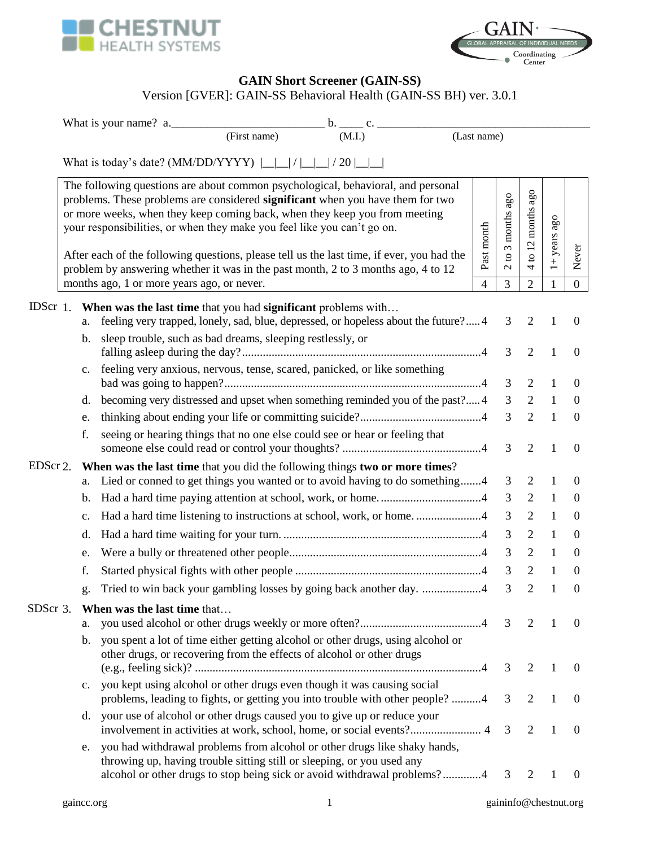



## **GAIN Short Screener (GAIN-SS)**

## Version [GVER]: GAIN-SS Behavioral Health (GAIN-SS BH) ver. 3.0.1

|          |                                                                                   |             | What is your name? a.                                                                                                                                                                                                                                                                                                                                                                                                                                                                                         |                |                                                                      |                     |                |                                    |  |  |  |
|----------|-----------------------------------------------------------------------------------|-------------|---------------------------------------------------------------------------------------------------------------------------------------------------------------------------------------------------------------------------------------------------------------------------------------------------------------------------------------------------------------------------------------------------------------------------------------------------------------------------------------------------------------|----------------|----------------------------------------------------------------------|---------------------|----------------|------------------------------------|--|--|--|
|          |                                                                                   |             | (First name)<br>(M.I.)                                                                                                                                                                                                                                                                                                                                                                                                                                                                                        | (Last name)    |                                                                      |                     |                |                                    |  |  |  |
|          | What is today's date? (MM/DD/YYYY) $\lfloor$ $\lfloor$ / $\lfloor$ $\rfloor$ / 20 |             |                                                                                                                                                                                                                                                                                                                                                                                                                                                                                                               |                |                                                                      |                     |                |                                    |  |  |  |
|          |                                                                                   |             | The following questions are about common psychological, behavioral, and personal<br>problems. These problems are considered significant when you have them for two<br>or more weeks, when they keep coming back, when they keep you from meeting<br>your responsibilities, or when they make you feel like you can't go on.<br>After each of the following questions, please tell us the last time, if ever, you had the<br>problem by answering whether it was in the past month, 2 to 3 months ago, 4 to 12 | Past month     | months ago<br>$\tilde{\phantom{a}}$<br>$\mathbf{S}$<br>$\mathcal{L}$ | ago<br>to 12 months | $1+$ years ago | Never                              |  |  |  |
|          |                                                                                   |             | months ago, 1 or more years ago, or never.                                                                                                                                                                                                                                                                                                                                                                                                                                                                    | $\overline{4}$ | 3                                                                    | $\overline{2}$      | 1              | $\boldsymbol{0}$                   |  |  |  |
|          |                                                                                   | a.<br>b.    | IDScr 1. When was the last time that you had significant problems with<br>feeling very trapped, lonely, sad, blue, depressed, or hopeless about the future? 4<br>sleep trouble, such as bad dreams, sleeping restlessly, or                                                                                                                                                                                                                                                                                   |                | 3                                                                    | $\overline{2}$      |                | $\boldsymbol{0}$                   |  |  |  |
|          |                                                                                   | $c_{\cdot}$ | feeling very anxious, nervous, tense, scared, panicked, or like something                                                                                                                                                                                                                                                                                                                                                                                                                                     |                | 3<br>3                                                               | 2<br>2              | 1<br>1         | $\overline{0}$<br>$\boldsymbol{0}$ |  |  |  |
|          |                                                                                   | d.          | becoming very distressed and upset when something reminded you of the past?4                                                                                                                                                                                                                                                                                                                                                                                                                                  |                | 3                                                                    | 2                   | $\mathbf{1}$   | $\overline{0}$                     |  |  |  |
|          |                                                                                   | e.          |                                                                                                                                                                                                                                                                                                                                                                                                                                                                                                               |                | 3                                                                    | 2                   | 1              | $\overline{0}$                     |  |  |  |
|          |                                                                                   | f.          | seeing or hearing things that no one else could see or hear or feeling that                                                                                                                                                                                                                                                                                                                                                                                                                                   |                | 3                                                                    | 2                   | 1              | $\mathbf{0}$                       |  |  |  |
| EDScr 2. |                                                                                   |             | When was the last time that you did the following things two or more times?                                                                                                                                                                                                                                                                                                                                                                                                                                   |                |                                                                      |                     |                |                                    |  |  |  |
|          |                                                                                   | a.          | Lied or conned to get things you wanted or to avoid having to do something4                                                                                                                                                                                                                                                                                                                                                                                                                                   |                | 3                                                                    | 2                   | 1              | $\theta$                           |  |  |  |
|          |                                                                                   | b.          |                                                                                                                                                                                                                                                                                                                                                                                                                                                                                                               |                | 3                                                                    | 2                   | 1              | $\boldsymbol{0}$                   |  |  |  |
|          |                                                                                   | c.          | Had a hard time listening to instructions at school, work, or home4                                                                                                                                                                                                                                                                                                                                                                                                                                           |                | 3                                                                    | 2                   | 1              | $\boldsymbol{0}$                   |  |  |  |
|          |                                                                                   | d.          |                                                                                                                                                                                                                                                                                                                                                                                                                                                                                                               |                | 3                                                                    | 2                   | 1              | $\boldsymbol{0}$                   |  |  |  |
|          |                                                                                   | e.          |                                                                                                                                                                                                                                                                                                                                                                                                                                                                                                               |                | 3                                                                    | 2                   | 1              | $\theta$                           |  |  |  |
|          |                                                                                   | f.          |                                                                                                                                                                                                                                                                                                                                                                                                                                                                                                               |                | 3                                                                    | 2                   | 1              | $\boldsymbol{0}$                   |  |  |  |
|          |                                                                                   | g.          | Tried to win back your gambling losses by going back another day. 4                                                                                                                                                                                                                                                                                                                                                                                                                                           |                | 3                                                                    | 2                   |                | $\boldsymbol{0}$                   |  |  |  |
|          |                                                                                   | a.          | SDScr 3. When was the last time that                                                                                                                                                                                                                                                                                                                                                                                                                                                                          |                |                                                                      | 2                   | -1             | $\theta$                           |  |  |  |
|          |                                                                                   |             | b. you spent a lot of time either getting alcohol or other drugs, using alcohol or<br>other drugs, or recovering from the effects of alcohol or other drugs                                                                                                                                                                                                                                                                                                                                                   |                |                                                                      | 2                   | 1              | $\boldsymbol{0}$                   |  |  |  |
|          |                                                                                   | $c_{\cdot}$ | you kept using alcohol or other drugs even though it was causing social<br>problems, leading to fights, or getting you into trouble with other people? 4                                                                                                                                                                                                                                                                                                                                                      |                | 3                                                                    | 2                   | 1              | $\boldsymbol{0}$                   |  |  |  |
|          |                                                                                   | d.          | your use of alcohol or other drugs caused you to give up or reduce your                                                                                                                                                                                                                                                                                                                                                                                                                                       |                |                                                                      | 2                   | -1             | $\boldsymbol{0}$                   |  |  |  |
|          |                                                                                   | e.          | you had withdrawal problems from alcohol or other drugs like shaky hands,<br>throwing up, having trouble sitting still or sleeping, or you used any<br>alcohol or other drugs to stop being sick or avoid withdrawal problems?4                                                                                                                                                                                                                                                                               |                | 3                                                                    | $\overline{2}$      | 1              | $\overline{0}$                     |  |  |  |